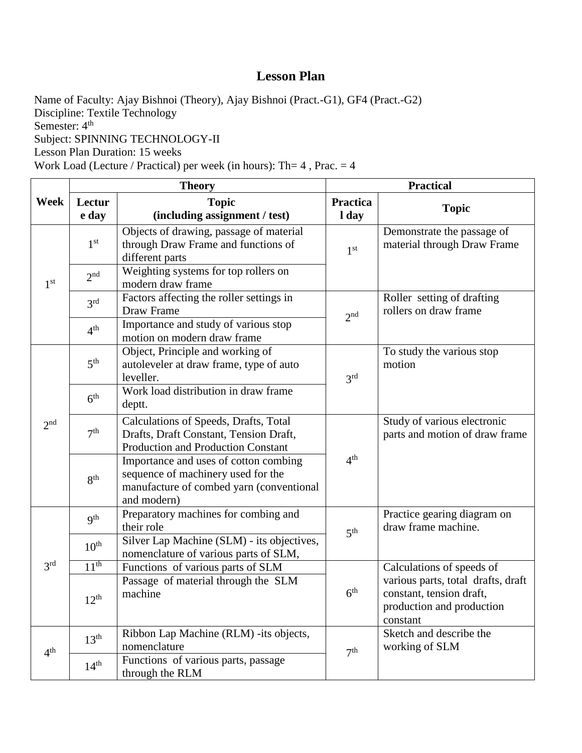Name of Faculty: Ajay Bishnoi (Theory), Ajay Bishnoi (Pract.-G1), GF4 (Pract.-G2) Discipline: Textile Technology Semester:  $4<sup>th</sup>$ Subject: SPINNING TECHNOLOGY-II Lesson Plan Duration: 15 weeks Work Load (Lecture / Practical) per week (in hours): Th=  $4$ , Prac. =  $4$ 

**Week Theory Practical Lectur e day Topic (including assignment / test) Practica l day Topic** 1 st 1 st Objects of drawing, passage of material through Draw Frame and functions of different parts st Demonstrate the passage of material through Draw Frame  $2^{nd}$ Weighting systems for top rollers on modern draw frame  $2rd$ Factors affecting the roller settings in<br>Draw Frame Draw Frame<br>Importance and study of various star  $2nd$ Roller setting of drafting rollers on draw frame  $4<sup>th</sup>$  $t_{\text{th}}$  | Importance and study of various stop motion on modern draw frame 2 nd  $5<sup>th</sup>$ Object, Principle and working of autoleveler at draw frame, type of auto leveller.  $3<sup>rd</sup>$ To study the various stop motion  $6<sup>th</sup>$ Work load distribution in draw frame deptt.  $7<sup>th</sup>$ Calculations of Speeds, Drafts, Total Drafts, Draft Constant, Tension Draft, Production and Production Constant  $4<sup>th</sup>$ Study of various electronic parts and motion of draw frame 8 th Importance and uses of cotton combing sequence of machinery used for the manufacture of combed yarn (conventional and modern) 3 rd **gth** Preparatory machines for combing and<br>their role  $\frac{\text{their role}}{\text{Silbert on Methoding (SIM)}}$  is the state of 5  $5<sup>th</sup>$ Practice gearing diagram on draw frame machine.  $10^{th}$  Silver Lap Machine (SLM) - its objectives, nomenclature of various parts of SLM, 11<sup>th</sup> Functions of various parts of SLM  $6<sup>th</sup>$ Calculations of speeds of various parts, total drafts, draft constant, tension draft, production and production constant  $12^{th}$ Passage of material through the SLM machine  $4<sup>th</sup>$  $13<sup>th</sup>$  Ribbon Lap Machine (RLM) -its objects,<br>nomenclature nomenclature 7<br>Executions of vertices next accesso  $7<sup>th</sup>$ Sketch and describe the working of SLM  $14<sup>th</sup>$  Functions of various parts, passage through the RLM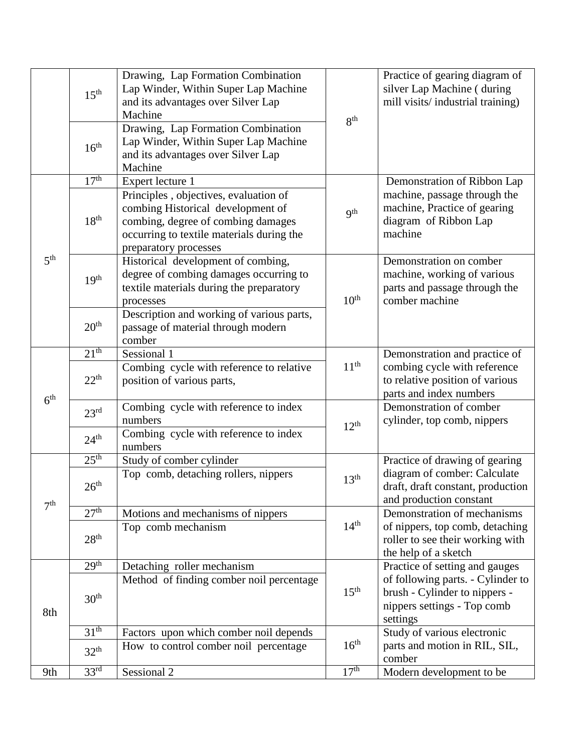|                 | $15^{\text{th}}$ | Drawing, Lap Formation Combination<br>Lap Winder, Within Super Lap Machine<br>and its advantages over Silver Lap<br>Machine                                                            | 8 <sup>th</sup>  | Practice of gearing diagram of<br>silver Lap Machine (during<br>mill visits/industrial training)              |
|-----------------|------------------|----------------------------------------------------------------------------------------------------------------------------------------------------------------------------------------|------------------|---------------------------------------------------------------------------------------------------------------|
|                 | 16 <sup>th</sup> | Drawing, Lap Formation Combination<br>Lap Winder, Within Super Lap Machine<br>and its advantages over Silver Lap<br>Machine                                                            |                  |                                                                                                               |
|                 | 17 <sup>th</sup> | Expert lecture 1                                                                                                                                                                       |                  | Demonstration of Ribbon Lap                                                                                   |
|                 | 18 <sup>th</sup> | Principles, objectives, evaluation of<br>combing Historical development of<br>combing, degree of combing damages<br>occurring to textile materials during the<br>preparatory processes | 9 <sup>th</sup>  | machine, passage through the<br>machine, Practice of gearing<br>diagram of Ribbon Lap<br>machine              |
| 5 <sup>th</sup> | 19 <sup>th</sup> | Historical development of combing,<br>degree of combing damages occurring to<br>textile materials during the preparatory<br>processes                                                  | 10 <sup>th</sup> | Demonstration on comber<br>machine, working of various<br>parts and passage through the<br>comber machine     |
|                 | 20 <sup>th</sup> | Description and working of various parts,<br>passage of material through modern<br>comber                                                                                              |                  |                                                                                                               |
|                 | 21 <sup>th</sup> | Sessional 1                                                                                                                                                                            |                  | Demonstration and practice of                                                                                 |
| 6 <sup>th</sup> | $22^{th}$        | Combing cycle with reference to relative<br>position of various parts,                                                                                                                 | 11 <sup>th</sup> | combing cycle with reference<br>to relative position of various<br>parts and index numbers                    |
|                 | 23 <sup>rd</sup> | Combing cycle with reference to index<br>numbers                                                                                                                                       | $12^{th}$        | Demonstration of comber<br>cylinder, top comb, nippers                                                        |
|                 | 24 <sup>th</sup> | Combing cycle with reference to index<br>numbers                                                                                                                                       |                  |                                                                                                               |
|                 | $25^{\text{th}}$ | Study of comber cylinder                                                                                                                                                               |                  | Practice of drawing of gearing                                                                                |
| 7 <sup>th</sup> | 26 <sup>th</sup> | Top comb, detaching rollers, nippers                                                                                                                                                   | 13 <sup>th</sup> | diagram of comber: Calculate<br>draft, draft constant, production<br>and production constant                  |
|                 | 27 <sup>th</sup> | Motions and mechanisms of nippers                                                                                                                                                      |                  | Demonstration of mechanisms                                                                                   |
|                 | 28 <sup>th</sup> | Top comb mechanism                                                                                                                                                                     | 14 <sup>th</sup> | of nippers, top comb, detaching<br>roller to see their working with<br>the help of a sketch                   |
|                 | 29 <sup>th</sup> | Detaching roller mechanism                                                                                                                                                             |                  | Practice of setting and gauges                                                                                |
| 8th             | 30 <sup>th</sup> | Method of finding comber noil percentage                                                                                                                                               | 15 <sup>th</sup> | of following parts. - Cylinder to<br>brush - Cylinder to nippers -<br>nippers settings - Top comb<br>settings |
|                 | 31 <sup>th</sup> | Factors upon which comber noil depends                                                                                                                                                 |                  | Study of various electronic                                                                                   |
|                 | 32 <sup>th</sup> | How to control comber noil percentage                                                                                                                                                  | 16 <sup>th</sup> | parts and motion in RIL, SIL,<br>comber                                                                       |
| 9th             | 33 <sup>rd</sup> | Sessional 2                                                                                                                                                                            | 17 <sup>th</sup> | Modern development to be                                                                                      |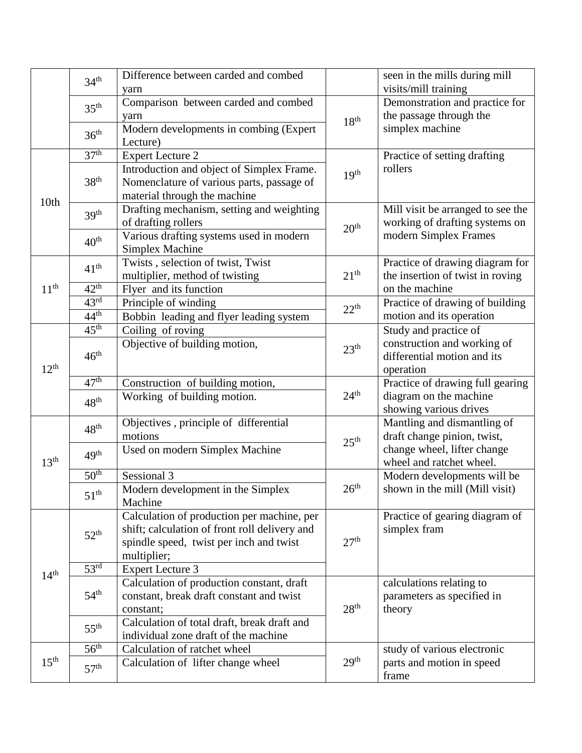|                  | 34 <sup>th</sup> | Difference between carded and combed          |                  | seen in the mills during mill     |
|------------------|------------------|-----------------------------------------------|------------------|-----------------------------------|
|                  |                  | yarn                                          |                  | visits/mill training              |
|                  | 35 <sup>th</sup> | Comparison between carded and combed          |                  | Demonstration and practice for    |
|                  |                  | yarn                                          | 18 <sup>th</sup> | the passage through the           |
|                  | 36 <sup>th</sup> | Modern developments in combing (Expert        |                  | simplex machine                   |
|                  |                  | Lecture)                                      |                  |                                   |
|                  | 37 <sup>th</sup> | <b>Expert Lecture 2</b>                       |                  | Practice of setting drafting      |
|                  |                  | Introduction and object of Simplex Frame.     | 19 <sup>th</sup> | rollers                           |
|                  | 38 <sup>th</sup> | Nomenclature of various parts, passage of     |                  |                                   |
| 10th             |                  | material through the machine                  |                  |                                   |
|                  | 39 <sup>th</sup> | Drafting mechanism, setting and weighting     |                  | Mill visit be arranged to see the |
|                  |                  | of drafting rollers                           | 20 <sup>th</sup> | working of drafting systems on    |
|                  | 40 <sup>th</sup> | Various drafting systems used in modern       |                  | modern Simplex Frames             |
|                  |                  | Simplex Machine                               |                  |                                   |
|                  | $41^{\text{th}}$ | Twists, selection of twist, Twist             |                  | Practice of drawing diagram for   |
|                  |                  | multiplier, method of twisting                | 21 <sup>th</sup> | the insertion of twist in roving  |
| 11 <sup>th</sup> | $42^{\text{th}}$ | Flyer and its function                        |                  | on the machine                    |
|                  | 43 <sup>rd</sup> | Principle of winding                          | 22 <sup>th</sup> | Practice of drawing of building   |
|                  | 44 <sup>th</sup> | Bobbin leading and flyer leading system       |                  | motion and its operation          |
|                  | 45 <sup>th</sup> | Coiling of roving                             |                  | Study and practice of             |
|                  | $46^{\text{th}}$ | Objective of building motion,                 | 23 <sup>th</sup> | construction and working of       |
|                  |                  |                                               |                  | differential motion and its       |
| $12^{th}$        |                  |                                               |                  | operation                         |
|                  | 47 <sup>th</sup> | Construction of building motion,              |                  | Practice of drawing full gearing  |
|                  | 48 <sup>th</sup> | Working of building motion.                   | 24 <sup>th</sup> | diagram on the machine            |
|                  |                  |                                               |                  | showing various drives            |
|                  | 48 <sup>th</sup> | Objectives , principle of differential        | 25 <sup>th</sup> | Mantling and dismantling of       |
|                  |                  | motions                                       |                  | draft change pinion, twist,       |
|                  | 49 <sup>th</sup> | Used on modern Simplex Machine                |                  | change wheel, lifter change       |
| 13 <sup>th</sup> |                  |                                               |                  | wheel and ratchet wheel.          |
|                  | 50 <sup>th</sup> | Sessional 3                                   |                  | Modern developments will be       |
|                  | 51 <sup>th</sup> | Modern development in the Simplex             | 26 <sup>th</sup> | shown in the mill (Mill visit)    |
|                  |                  | Machine                                       |                  |                                   |
|                  |                  | Calculation of production per machine, per    |                  | Practice of gearing diagram of    |
|                  | $52^{\text{th}}$ | shift; calculation of front roll delivery and |                  | simplex fram                      |
|                  |                  | spindle speed, twist per inch and twist       | 27 <sup>th</sup> |                                   |
|                  |                  | multiplier;                                   |                  |                                   |
| 14 <sup>th</sup> | 53 <sup>rd</sup> | <b>Expert Lecture 3</b>                       |                  |                                   |
|                  |                  | Calculation of production constant, draft     |                  | calculations relating to          |
|                  | 54 <sup>th</sup> | constant, break draft constant and twist      |                  | parameters as specified in        |
|                  |                  | constant;                                     | 28 <sup>th</sup> | theory                            |
|                  | $55^{th}$        | Calculation of total draft, break draft and   |                  |                                   |
|                  |                  | individual zone draft of the machine          |                  |                                   |
|                  | $56^{\text{th}}$ | Calculation of ratchet wheel                  |                  | study of various electronic       |
| $15^{\text{th}}$ |                  | Calculation of lifter change wheel            | 29 <sup>th</sup> | parts and motion in speed         |
|                  | 57 <sup>th</sup> |                                               |                  | frame                             |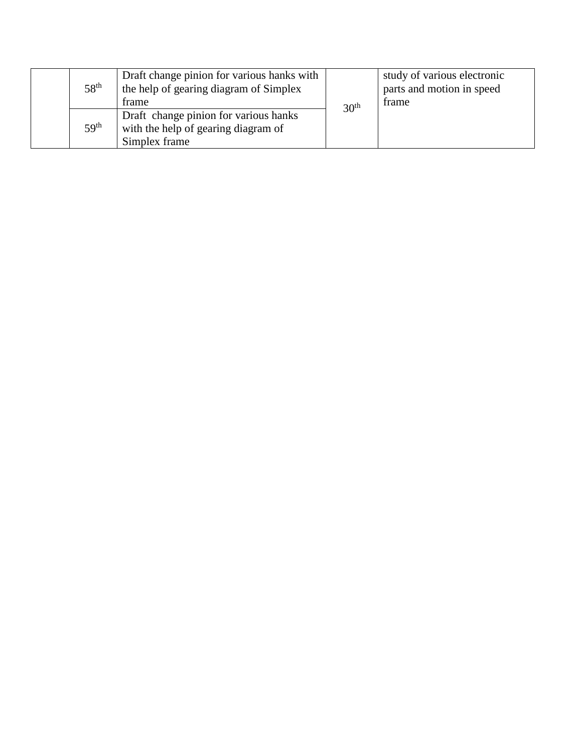|  | 58 <sup>th</sup> | Draft change pinion for various hanks with<br>the help of gearing diagram of Simplex<br>frame | 30 <sup>th</sup> | study of various electronic<br>parts and motion in speed<br>frame |
|--|------------------|-----------------------------------------------------------------------------------------------|------------------|-------------------------------------------------------------------|
|  | 59 <sup>th</sup> | Draft change pinion for various hanks<br>with the help of gearing diagram of<br>Simplex frame |                  |                                                                   |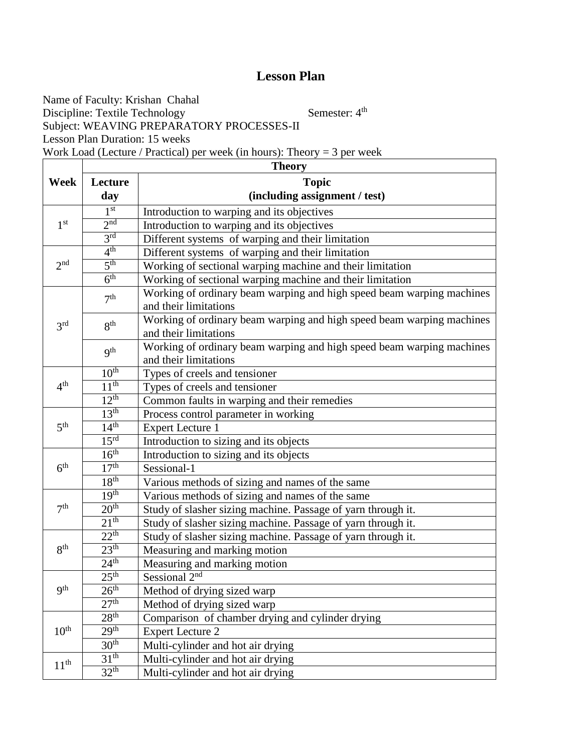Name of Faculty: Krishan Chahal Discipline: Textile Technology Semester: 4<sup>th</sup> Subject: WEAVING PREPARATORY PROCESSES-II Lesson Plan Duration: 15 weeks Work Load (Lecture / Practical) per week (in hours): Theory = 3 per week

|                  | <b>Theory</b>    |                                                                                                |  |  |  |  |  |
|------------------|------------------|------------------------------------------------------------------------------------------------|--|--|--|--|--|
| Week             | Lecture          | <b>Topic</b>                                                                                   |  |  |  |  |  |
|                  | day              | (including assignment / test)                                                                  |  |  |  |  |  |
|                  | 1 <sup>st</sup>  | Introduction to warping and its objectives                                                     |  |  |  |  |  |
| 1 <sup>st</sup>  | 2 <sup>nd</sup>  | Introduction to warping and its objectives                                                     |  |  |  |  |  |
|                  | 3 <sup>rd</sup>  | Different systems of warping and their limitation                                              |  |  |  |  |  |
|                  | 4 <sup>th</sup>  | Different systems of warping and their limitation                                              |  |  |  |  |  |
| 2 <sup>nd</sup>  | 5 <sup>th</sup>  | Working of sectional warping machine and their limitation                                      |  |  |  |  |  |
|                  | 6 <sup>th</sup>  | Working of sectional warping machine and their limitation                                      |  |  |  |  |  |
|                  | 7 <sup>th</sup>  | Working of ordinary beam warping and high speed beam warping machines<br>and their limitations |  |  |  |  |  |
| 3 <sup>rd</sup>  | 8 <sup>th</sup>  | Working of ordinary beam warping and high speed beam warping machines<br>and their limitations |  |  |  |  |  |
|                  | <b>9th</b>       | Working of ordinary beam warping and high speed beam warping machines<br>and their limitations |  |  |  |  |  |
|                  | 10 <sup>th</sup> | Types of creels and tensioner                                                                  |  |  |  |  |  |
| 4 <sup>th</sup>  | 11 <sup>th</sup> | Types of creels and tensioner                                                                  |  |  |  |  |  |
|                  | 12 <sup>th</sup> | Common faults in warping and their remedies                                                    |  |  |  |  |  |
|                  | 13 <sup>th</sup> | Process control parameter in working                                                           |  |  |  |  |  |
| 5 <sup>th</sup>  | 14 <sup>th</sup> | <b>Expert Lecture 1</b>                                                                        |  |  |  |  |  |
|                  | 15 <sup>rd</sup> | Introduction to sizing and its objects                                                         |  |  |  |  |  |
|                  | 16 <sup>th</sup> | Introduction to sizing and its objects                                                         |  |  |  |  |  |
| 6 <sup>th</sup>  | 17 <sup>th</sup> | Sessional-1                                                                                    |  |  |  |  |  |
|                  | 18 <sup>th</sup> | Various methods of sizing and names of the same                                                |  |  |  |  |  |
|                  | 19 <sup>th</sup> | Various methods of sizing and names of the same                                                |  |  |  |  |  |
| 7 <sup>th</sup>  | 20 <sup>th</sup> | Study of slasher sizing machine. Passage of yarn through it.                                   |  |  |  |  |  |
|                  | 21 <sup>th</sup> | Study of slasher sizing machine. Passage of yarn through it.                                   |  |  |  |  |  |
|                  | $22^{th}$        | Study of slasher sizing machine. Passage of yarn through it.                                   |  |  |  |  |  |
| 8 <sup>th</sup>  | 23 <sup>th</sup> | Measuring and marking motion                                                                   |  |  |  |  |  |
|                  | 24 <sup>th</sup> | Measuring and marking motion                                                                   |  |  |  |  |  |
|                  | 25 <sup>th</sup> | Sessional 2 <sup>nd</sup>                                                                      |  |  |  |  |  |
| 9 <sup>th</sup>  | 26 <sup>th</sup> | Method of drying sized warp                                                                    |  |  |  |  |  |
|                  | 27 <sup>th</sup> | Method of drying sized warp                                                                    |  |  |  |  |  |
|                  | 28 <sup>th</sup> | Comparison of chamber drying and cylinder drying                                               |  |  |  |  |  |
| 10 <sup>th</sup> | 29 <sup>th</sup> | <b>Expert Lecture 2</b>                                                                        |  |  |  |  |  |
|                  | 30 <sup>th</sup> | Multi-cylinder and hot air drying                                                              |  |  |  |  |  |
| 11 <sup>th</sup> | 31 <sup>th</sup> | Multi-cylinder and hot air drying                                                              |  |  |  |  |  |
|                  | 32 <sup>th</sup> | Multi-cylinder and hot air drying                                                              |  |  |  |  |  |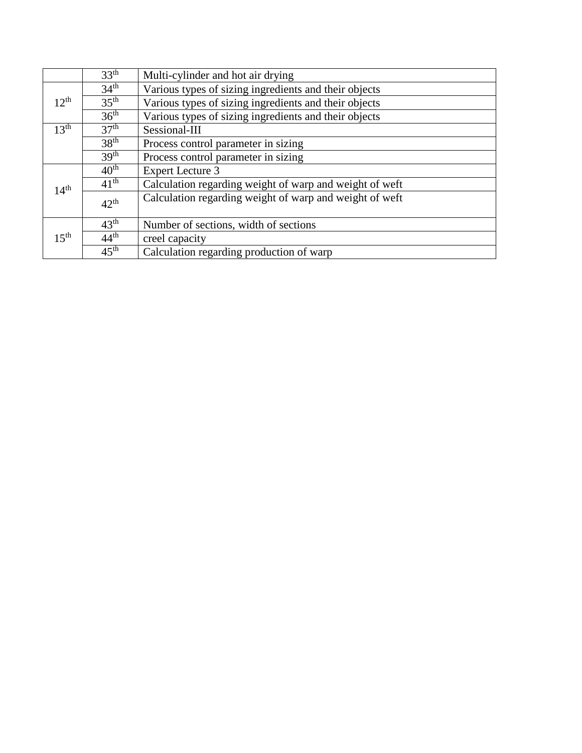|                  | 33 <sup>th</sup>                                                          | Multi-cylinder and hot air drying                       |  |  |  |
|------------------|---------------------------------------------------------------------------|---------------------------------------------------------|--|--|--|
|                  | 34 <sup>th</sup>                                                          | Various types of sizing ingredients and their objects   |  |  |  |
| $12^{th}$        | $35^{\text{th}}$<br>Various types of sizing ingredients and their objects |                                                         |  |  |  |
|                  | 36 <sup>th</sup>                                                          | Various types of sizing ingredients and their objects   |  |  |  |
| 13 <sup>th</sup> | 37 <sup>th</sup>                                                          | Sessional-III                                           |  |  |  |
|                  | 38 <sup>th</sup>                                                          | Process control parameter in sizing                     |  |  |  |
|                  | 39 <sup>th</sup>                                                          | Process control parameter in sizing                     |  |  |  |
|                  | $40^{\text{th}}$                                                          | <b>Expert Lecture 3</b>                                 |  |  |  |
| 14 <sup>th</sup> | $41^{\text{th}}$                                                          | Calculation regarding weight of warp and weight of weft |  |  |  |
|                  | $42^{\text{th}}$                                                          | Calculation regarding weight of warp and weight of weft |  |  |  |
|                  | $43^{\text{th}}$                                                          | Number of sections, width of sections                   |  |  |  |
| 15 <sup>th</sup> | $44^{\text{th}}$                                                          | creel capacity                                          |  |  |  |
|                  | $45^{\text{th}}$                                                          | Calculation regarding production of warp                |  |  |  |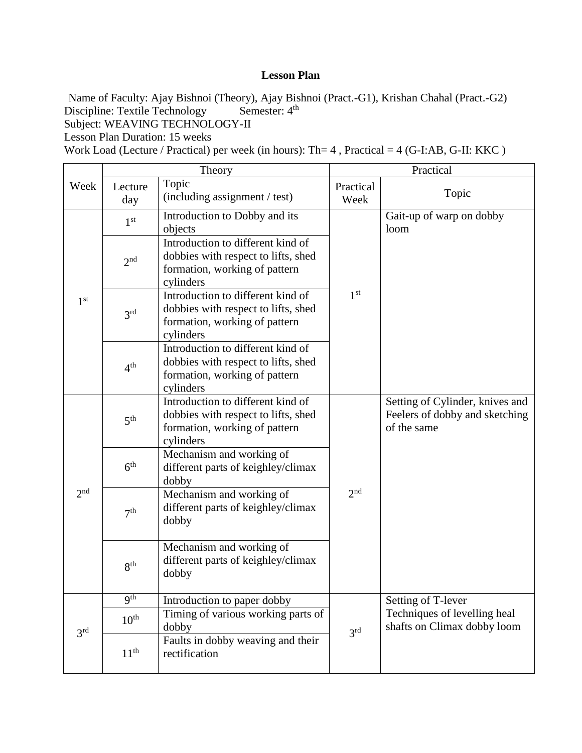Name of Faculty: Ajay Bishnoi (Theory), Ajay Bishnoi (Pract.-G1), Krishan Chahal (Pract.-G2)<br>Discipline: Textile Technology Semester: 4<sup>th</sup> Discipline: Textile Technology

Subject: WEAVING TECHNOLOGY-II

Lesson Plan Duration: 15 weeks

Work Load (Lecture / Practical) per week (in hours): Th= 4, Practical = 4 (G-I:AB, G-II: KKC)

|                 | Theory           |                                                                                                                        | Practical         |                                                                                  |
|-----------------|------------------|------------------------------------------------------------------------------------------------------------------------|-------------------|----------------------------------------------------------------------------------|
| Week            | Lecture<br>day   | Topic<br>(including assignment / test)                                                                                 | Practical<br>Week | Topic                                                                            |
|                 | 1 <sup>st</sup>  | Introduction to Dobby and its<br>objects                                                                               |                   | Gait-up of warp on dobby<br>loom                                                 |
|                 | 2 <sup>nd</sup>  | Introduction to different kind of<br>dobbies with respect to lifts, shed<br>formation, working of pattern<br>cylinders |                   |                                                                                  |
| 1 <sup>st</sup> | 3 <sup>rd</sup>  | Introduction to different kind of<br>dobbies with respect to lifts, shed<br>formation, working of pattern<br>cylinders | 1 <sup>st</sup>   |                                                                                  |
|                 | 4 <sup>th</sup>  | Introduction to different kind of<br>dobbies with respect to lifts, shed<br>formation, working of pattern<br>cylinders |                   |                                                                                  |
| 2 <sub>nd</sub> | 5 <sup>th</sup>  | Introduction to different kind of<br>dobbies with respect to lifts, shed<br>formation, working of pattern<br>cylinders |                   | Setting of Cylinder, knives and<br>Feelers of dobby and sketching<br>of the same |
|                 | 6 <sup>th</sup>  | Mechanism and working of<br>different parts of keighley/climax<br>dobby                                                |                   |                                                                                  |
|                 | 7 <sup>th</sup>  | Mechanism and working of<br>different parts of keighley/climax<br>dobby                                                | 2 <sup>nd</sup>   |                                                                                  |
|                 | 8 <sup>th</sup>  | Mechanism and working of<br>different parts of keighley/climax<br>dobby                                                |                   |                                                                                  |
|                 | q <sup>th</sup>  | Introduction to paper dobby                                                                                            |                   | Setting of T-lever                                                               |
| 3 <sup>rd</sup> | $10^{\text{th}}$ | Timing of various working parts of<br>dobby                                                                            | 3 <sup>rd</sup>   | Techniques of levelling heal<br>shafts on Climax dobby loom                      |
|                 | 11 <sup>th</sup> | Faults in dobby weaving and their<br>rectification                                                                     |                   |                                                                                  |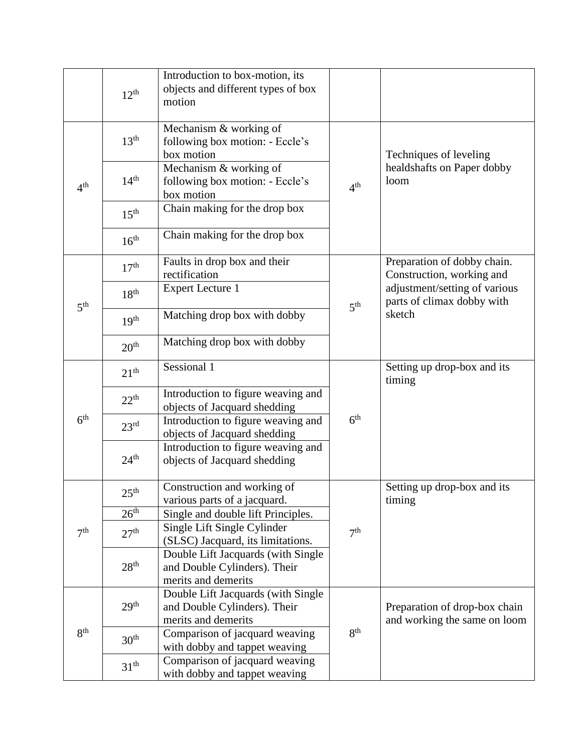|                 | $12^{th}$        | Introduction to box-motion, its<br>objects and different types of box<br>motion           |                 |                                                               |
|-----------------|------------------|-------------------------------------------------------------------------------------------|-----------------|---------------------------------------------------------------|
|                 | 13 <sup>th</sup> | Mechanism & working of<br>following box motion: - Eccle's<br>box motion                   |                 | Techniques of leveling                                        |
| 4 <sup>th</sup> | 14 <sup>th</sup> | Mechanism & working of<br>following box motion: - Eccle's<br>box motion                   | 4 <sup>th</sup> | healdshafts on Paper dobby<br>loom                            |
|                 | 15 <sup>th</sup> | Chain making for the drop box                                                             |                 |                                                               |
|                 | 16 <sup>th</sup> | Chain making for the drop box                                                             |                 |                                                               |
|                 | 17 <sup>th</sup> | Faults in drop box and their<br>rectification                                             |                 | Preparation of dobby chain.<br>Construction, working and      |
| 5 <sup>th</sup> | $18^{\text{th}}$ | <b>Expert Lecture 1</b>                                                                   | 5 <sup>th</sup> | adjustment/setting of various<br>parts of climax dobby with   |
|                 | 19 <sup>th</sup> | Matching drop box with dobby                                                              |                 | sketch                                                        |
|                 | 20 <sup>th</sup> | Matching drop box with dobby                                                              |                 |                                                               |
|                 | 21 <sup>th</sup> | Sessional 1                                                                               |                 | Setting up drop-box and its<br>timing                         |
|                 | $22^{th}$        | Introduction to figure weaving and<br>objects of Jacquard shedding                        |                 |                                                               |
| 6 <sup>th</sup> | 23 <sup>rd</sup> | Introduction to figure weaving and<br>objects of Jacquard shedding                        | 6 <sup>th</sup> |                                                               |
|                 | 24 <sup>th</sup> | Introduction to figure weaving and<br>objects of Jacquard shedding                        |                 |                                                               |
|                 | 25 <sup>th</sup> | Construction and working of<br>various parts of a jacquard.                               |                 | Setting up drop-box and its<br>timing                         |
|                 | 26 <sup>th</sup> | Single and double lift Principles.                                                        |                 |                                                               |
| 7 <sup>th</sup> | 27 <sup>th</sup> | Single Lift Single Cylinder<br>(SLSC) Jacquard, its limitations.                          | 7 <sup>th</sup> |                                                               |
|                 | 28 <sup>th</sup> | Double Lift Jacquards (with Single<br>and Double Cylinders). Their<br>merits and demerits |                 |                                                               |
|                 | 29 <sup>th</sup> | Double Lift Jacquards (with Single<br>and Double Cylinders). Their<br>merits and demerits |                 | Preparation of drop-box chain<br>and working the same on loom |
| 8 <sup>th</sup> | 30 <sup>th</sup> | Comparison of jacquard weaving<br>with dobby and tappet weaving                           | 8 <sup>th</sup> |                                                               |
|                 | $31^{\text{th}}$ | Comparison of jacquard weaving<br>with dobby and tappet weaving                           |                 |                                                               |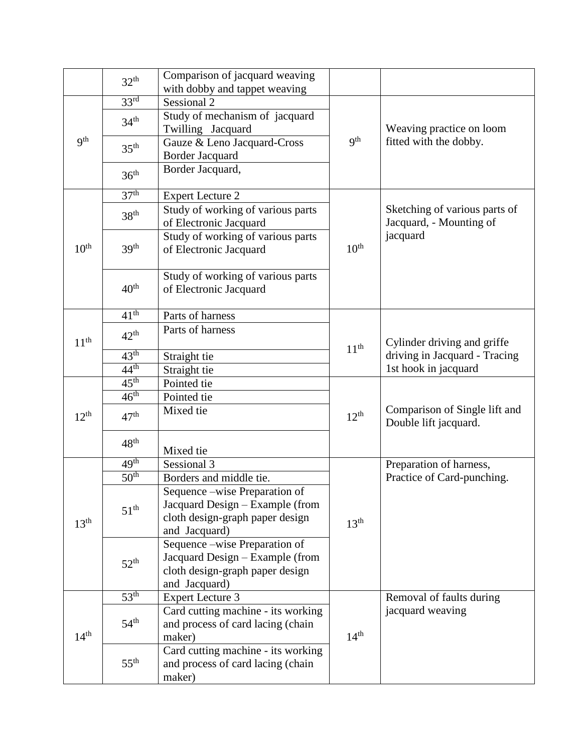|                  | 32 <sup>th</sup> | Comparison of jacquard weaving<br>with dobby and tappet weaving |                  |                                                        |
|------------------|------------------|-----------------------------------------------------------------|------------------|--------------------------------------------------------|
|                  | 33 <sup>rd</sup> | Sessional 2                                                     |                  |                                                        |
|                  | 34 <sup>th</sup> | Study of mechanism of jacquard                                  |                  |                                                        |
|                  |                  | Twilling Jacquard                                               |                  | Weaving practice on loom                               |
| 9 <sup>th</sup>  | 35 <sup>th</sup> | Gauze & Leno Jacquard-Cross<br>Border Jacquard                  | 9 <sup>th</sup>  | fitted with the dobby.                                 |
|                  | 36 <sup>th</sup> | Border Jacquard,                                                |                  |                                                        |
|                  | 37 <sup>th</sup> | <b>Expert Lecture 2</b>                                         |                  |                                                        |
|                  |                  | Study of working of various parts                               |                  | Sketching of various parts of                          |
|                  | 38 <sup>th</sup> | of Electronic Jacquard                                          |                  | Jacquard, - Mounting of                                |
|                  |                  | Study of working of various parts                               |                  | jacquard                                               |
| 10 <sup>th</sup> | 39 <sup>th</sup> | of Electronic Jacquard                                          | 10 <sup>th</sup> |                                                        |
|                  |                  | Study of working of various parts                               |                  |                                                        |
|                  | 40 <sup>th</sup> | of Electronic Jacquard                                          |                  |                                                        |
|                  | $41^{\text{th}}$ | Parts of harness                                                |                  |                                                        |
|                  | $42^{\text{th}}$ | Parts of harness                                                |                  |                                                        |
| 11 <sup>th</sup> |                  |                                                                 | 11 <sup>th</sup> | Cylinder driving and griffe                            |
|                  | $43^{\text{th}}$ | Straight tie                                                    |                  | driving in Jacquard - Tracing                          |
|                  | 44 <sup>th</sup> | Straight tie                                                    |                  | 1st hook in jacquard                                   |
|                  | 45 <sup>th</sup> | Pointed tie                                                     |                  |                                                        |
|                  | 46 <sup>th</sup> | Pointed tie                                                     |                  |                                                        |
| $12^{th}$        | 47 <sup>th</sup> | Mixed tie                                                       | $12^{th}$        | Comparison of Single lift and<br>Double lift jacquard. |
|                  | 48 <sup>th</sup> | Mixed tie                                                       |                  |                                                        |
|                  | 49 <sup>th</sup> | Sessional 3                                                     |                  | Preparation of harness,                                |
|                  | 50 <sup>th</sup> | Borders and middle tie.                                         |                  | Practice of Card-punching.                             |
|                  |                  | Sequence – wise Preparation of                                  |                  |                                                        |
|                  | 51 <sup>th</sup> | Jacquard Design – Example (from                                 |                  |                                                        |
| 13 <sup>th</sup> |                  | cloth design-graph paper design                                 | 13 <sup>th</sup> |                                                        |
|                  |                  | and Jacquard)                                                   |                  |                                                        |
|                  |                  | Sequence –wise Preparation of                                   |                  |                                                        |
|                  | $52^{\text{th}}$ | Jacquard Design - Example (from                                 |                  |                                                        |
|                  |                  | cloth design-graph paper design                                 |                  |                                                        |
|                  |                  | and Jacquard)                                                   |                  |                                                        |
|                  | 53 <sup>th</sup> | <b>Expert Lecture 3</b>                                         |                  | Removal of faults during                               |
|                  |                  | Card cutting machine - its working                              |                  | jacquard weaving                                       |
|                  | $54^{\text{th}}$ | and process of card lacing (chain                               |                  |                                                        |
| 14 <sup>th</sup> |                  | maker)                                                          | 14 <sup>th</sup> |                                                        |
|                  |                  | Card cutting machine - its working                              |                  |                                                        |
|                  | $55^{\text{th}}$ | and process of card lacing (chain                               |                  |                                                        |
|                  |                  | maker)                                                          |                  |                                                        |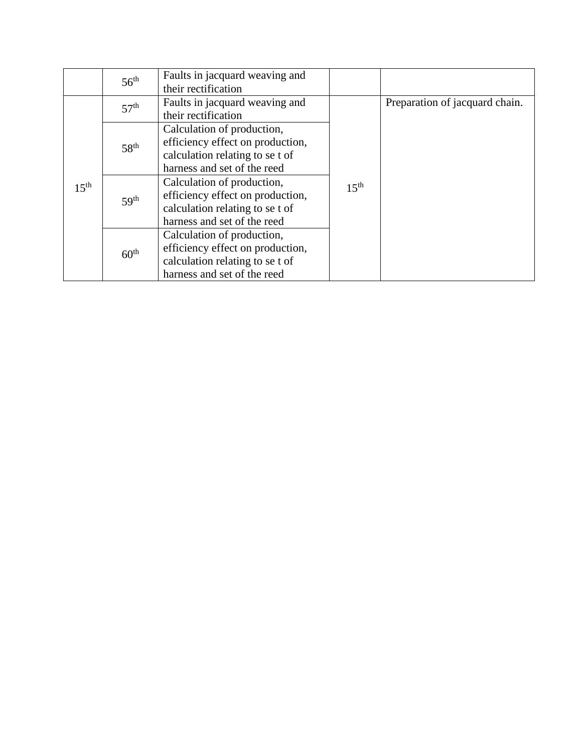|                  | 56 <sup>th</sup> | Faults in jacquard weaving and   |                  |                                |
|------------------|------------------|----------------------------------|------------------|--------------------------------|
|                  |                  | their rectification              |                  |                                |
|                  | 57 <sup>th</sup> | Faults in jacquard weaving and   |                  | Preparation of jacquard chain. |
|                  |                  | their rectification              |                  |                                |
|                  |                  | Calculation of production,       |                  |                                |
|                  | 58 <sup>th</sup> | efficiency effect on production, |                  |                                |
|                  |                  | calculation relating to se t of  | 15 <sup>th</sup> |                                |
|                  |                  | harness and set of the reed      |                  |                                |
| $15^{\text{th}}$ | 59 <sup>th</sup> | Calculation of production,       |                  |                                |
|                  |                  | efficiency effect on production, |                  |                                |
|                  |                  | calculation relating to se t of  |                  |                                |
|                  |                  | harness and set of the reed      |                  |                                |
|                  |                  | Calculation of production,       |                  |                                |
|                  | 60 <sup>th</sup> | efficiency effect on production, |                  |                                |
|                  |                  | calculation relating to se t of  |                  |                                |
|                  |                  | harness and set of the reed      |                  |                                |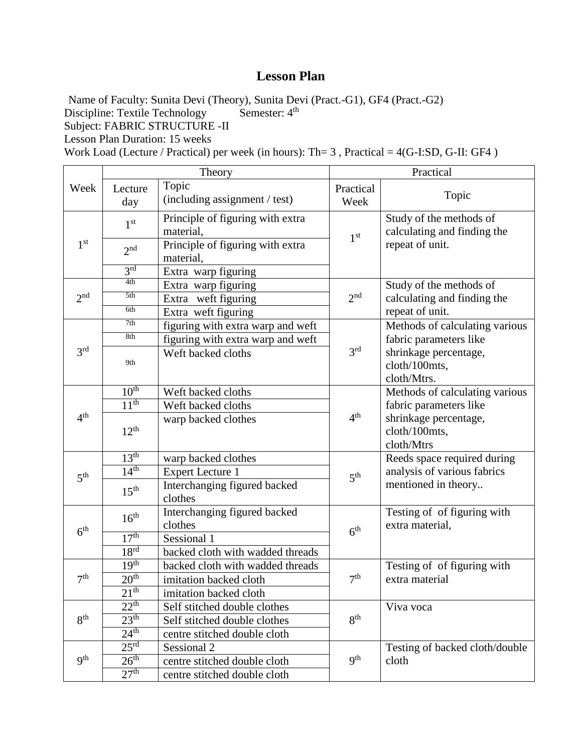Name of Faculty: Sunita Devi (Theory), Sunita Devi (Pract.-G1), GF4 (Pract.-G2)<br>Discipline: Textile Technology Semester:  $4^{\text{th}}$ 

Discipline: Textile Technology

Subject: FABRIC STRUCTURE -II

Lesson Plan Duration: 15 weeks

Work Load (Lecture / Practical) per week (in hours): Th= 3 , Practical = 4(G-I:SD, G-II: GF4 )

|                 | Theory               |                                               | Practical         |                                                        |
|-----------------|----------------------|-----------------------------------------------|-------------------|--------------------------------------------------------|
| Week            | Lecture<br>day       | Topic<br>(including assignment / test)        | Practical<br>Week | Topic                                                  |
|                 | 1 <sup>st</sup>      | Principle of figuring with extra<br>material, | 1 <sup>st</sup>   | Study of the methods of<br>calculating and finding the |
| 1 <sup>st</sup> | 2 <sup>nd</sup>      | Principle of figuring with extra<br>material, |                   | repeat of unit.                                        |
|                 | 3 <sup>rd</sup>      | Extra warp figuring                           |                   |                                                        |
|                 | 4th                  | Extra warp figuring                           |                   | Study of the methods of                                |
| 2 <sup>nd</sup> | 5th                  | Extra weft figuring                           | 2 <sup>nd</sup>   | calculating and finding the                            |
|                 | 6th                  | Extra weft figuring                           |                   | repeat of unit.                                        |
|                 | 7th                  | figuring with extra warp and weft             |                   | Methods of calculating various                         |
|                 | 8th                  | figuring with extra warp and weft             |                   | fabric parameters like                                 |
| 3 <sup>rd</sup> | 9th                  | Weft backed cloths                            | 3 <sup>rd</sup>   | shrinkage percentage,<br>cloth/100mts,<br>cloth/Mtrs.  |
|                 | 10 <sup>th</sup>     | Weft backed cloths                            |                   | Methods of calculating various                         |
|                 | 11 <sup>th</sup>     | Weft backed cloths                            |                   | fabric parameters like                                 |
| 4 <sup>th</sup> | $12^{th}$            | warp backed clothes                           | 4 <sup>th</sup>   | shrinkage percentage,<br>cloth/100mts,<br>cloth/Mtrs   |
|                 | 13 <sup>th</sup>     | warp backed clothes                           |                   | Reeds space required during                            |
| 5 <sup>th</sup> | 14 <sup>th</sup>     | <b>Expert Lecture 1</b>                       | 5 <sup>th</sup>   | analysis of various fabrics                            |
|                 | 15 <sup>th</sup>     | Interchanging figured backed<br>clothes       |                   | mentioned in theory                                    |
| 6 <sup>th</sup> | 16 <sup>th</sup>     | Interchanging figured backed<br>clothes       | 6 <sup>th</sup>   | Testing of of figuring with<br>extra material,         |
|                 | 17 <sup>th</sup>     | Sessional 1                                   |                   |                                                        |
|                 | 18 <sup>rd</sup>     | backed cloth with wadded threads              |                   |                                                        |
|                 | 19 <sup>th</sup>     | backed cloth with wadded threads              |                   | Testing of of figuring with                            |
| 7 <sup>th</sup> | 20 <sup>th</sup>     | imitation backed cloth                        | 7 <sup>th</sup>   | extra material                                         |
|                 | $2\overline{1^{th}}$ | imitation backed cloth                        |                   |                                                        |
|                 | 22 <sup>th</sup>     | Self stitched double clothes                  |                   | Viva voca                                              |
| 8 <sup>th</sup> | 23 <sup>th</sup>     | Self stitched double clothes                  | 8 <sup>th</sup>   |                                                        |
|                 | 24 <sup>th</sup>     | centre stitched double cloth                  |                   |                                                        |
|                 | 25 <sup>rd</sup>     | Sessional 2                                   |                   | Testing of backed cloth/double                         |
| 9 <sup>th</sup> | 26 <sup>th</sup>     | centre stitched double cloth                  | 9 <sup>th</sup>   | cloth                                                  |
|                 | 27 <sup>th</sup>     | centre stitched double cloth                  |                   |                                                        |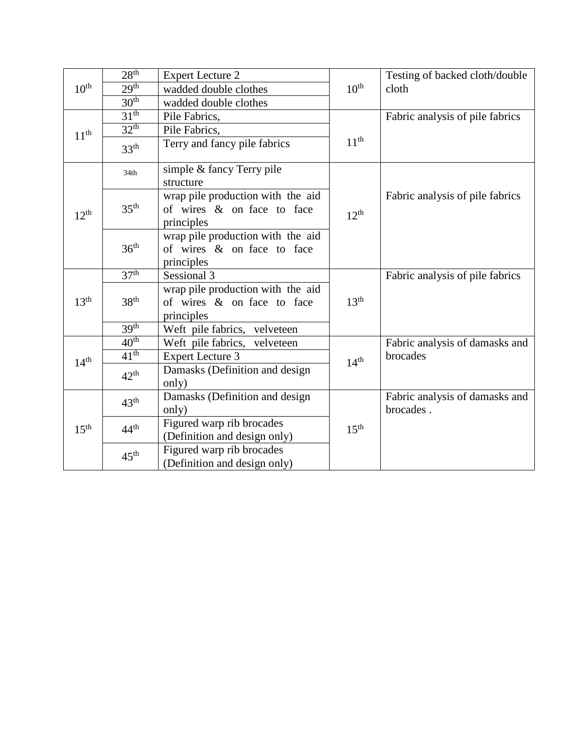|                  | 28 <sup>th</sup> | <b>Expert Lecture 2</b>                                                       |                  | Testing of backed cloth/double              |
|------------------|------------------|-------------------------------------------------------------------------------|------------------|---------------------------------------------|
| $10^{\text{th}}$ | 29 <sup>th</sup> | wadded double clothes                                                         | $10^{\text{th}}$ | cloth                                       |
|                  | 30 <sup>th</sup> | wadded double clothes                                                         |                  |                                             |
|                  | 31 <sup>th</sup> | Pile Fabrics,                                                                 |                  | Fabric analysis of pile fabrics             |
| 11 <sup>th</sup> | 32 <sup>th</sup> | Pile Fabrics,                                                                 |                  |                                             |
|                  | 33 <sup>th</sup> | Terry and fancy pile fabrics                                                  | $11^{\text{th}}$ |                                             |
|                  | 34th             | simple & fancy Terry pile<br>structure                                        |                  |                                             |
| $12^{th}$        | 35 <sup>th</sup> | wrap pile production with the aid<br>of wires & on face to face<br>principles | 12 <sup>th</sup> | Fabric analysis of pile fabrics             |
|                  | 36 <sup>th</sup> | wrap pile production with the aid<br>of wires & on face to face<br>principles |                  |                                             |
|                  | 37 <sup>th</sup> | Sessional 3                                                                   |                  | Fabric analysis of pile fabrics             |
| 13 <sup>th</sup> | 38 <sup>th</sup> | wrap pile production with the aid<br>of wires & on face to face<br>principles | 13 <sup>th</sup> |                                             |
|                  | 39 <sup>th</sup> | Weft pile fabrics, velveteen                                                  |                  |                                             |
|                  | $40^{\text{th}}$ | Weft pile fabrics, velveteen                                                  |                  | Fabric analysis of damasks and              |
| 14 <sup>th</sup> | $41^{\text{th}}$ | <b>Expert Lecture 3</b>                                                       | 14 <sup>th</sup> | brocades                                    |
|                  | $42^{\text{th}}$ | Damasks (Definition and design<br>only)                                       |                  |                                             |
| $15^{\text{th}}$ | $43^{\text{th}}$ | Damasks (Definition and design<br>only)                                       |                  | Fabric analysis of damasks and<br>brocades. |
|                  | $44^{\text{th}}$ | Figured warp rib brocades<br>(Definition and design only)                     | $15^{\text{th}}$ |                                             |
|                  | 45 <sup>th</sup> | Figured warp rib brocades<br>(Definition and design only)                     |                  |                                             |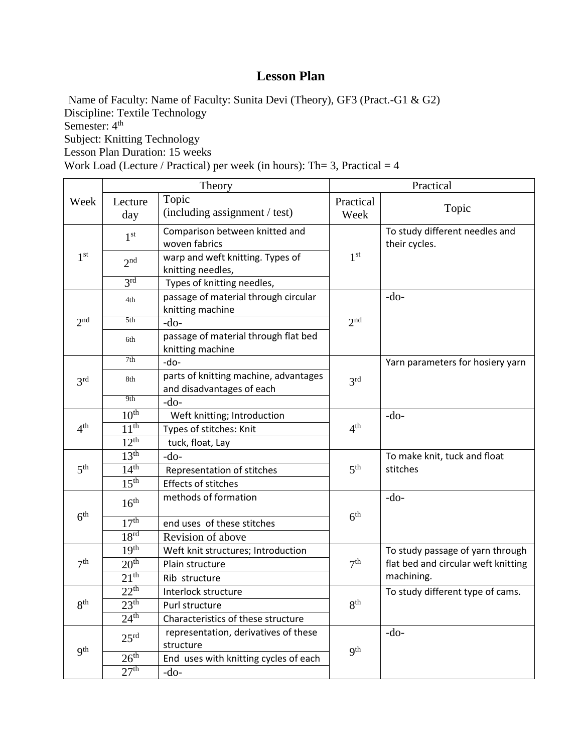Name of Faculty: Name of Faculty: Sunita Devi (Theory), GF3 (Pract.-G1 & G2) Discipline: Textile Technology Semester:  $4<sup>th</sup>$ Subject: Knitting Technology Lesson Plan Duration: 15 weeks Work Load (Lecture / Practical) per week (in hours): Th= 3, Practical  $= 4$  $\mathsf{r}$ 

|                 | Theory           |                                                                    | Practical         |                                                 |
|-----------------|------------------|--------------------------------------------------------------------|-------------------|-------------------------------------------------|
| Week            | Lecture<br>day   | Topic<br>(including assignment / test)                             | Practical<br>Week | Topic                                           |
|                 | 1 <sup>st</sup>  | Comparison between knitted and<br>woven fabrics                    |                   | To study different needles and<br>their cycles. |
| 1 <sup>st</sup> | 2 <sup>nd</sup>  | warp and weft knitting. Types of<br>knitting needles,              | 1 <sup>st</sup>   |                                                 |
|                 | 3 <sup>rd</sup>  | Types of knitting needles,                                         |                   |                                                 |
|                 | 4th              | passage of material through circular<br>knitting machine           |                   | $-do-$                                          |
| $2n$ d          | 5th              | $-do-$                                                             | 2 <sup>nd</sup>   |                                                 |
|                 | 6th              | passage of material through flat bed<br>knitting machine           |                   |                                                 |
|                 | 7th              | -do-                                                               |                   | Yarn parameters for hosiery yarn                |
| 3 <sup>rd</sup> | 8th              | parts of knitting machine, advantages<br>and disadvantages of each | 3 <sup>rd</sup>   |                                                 |
|                 | 9th              | $-do-$                                                             |                   |                                                 |
|                 | $10^{\text{th}}$ | Weft knitting; Introduction                                        |                   | $-do-$                                          |
| 4 <sup>th</sup> | $11^{th}$        | Types of stitches: Knit                                            | 4 <sup>th</sup>   |                                                 |
|                 | $12^{th}$        | tuck, float, Lay                                                   |                   |                                                 |
|                 | 13 <sup>th</sup> | $-do-$                                                             |                   | To make knit, tuck and float                    |
| 5 <sup>th</sup> | 14 <sup>th</sup> | Representation of stitches                                         | 5 <sup>th</sup>   | stitches                                        |
|                 | 15 <sup>th</sup> | <b>Effects of stitches</b>                                         |                   |                                                 |
| $6^{\rm th}$    | 16 <sup>th</sup> | methods of formation                                               | 6 <sup>th</sup>   | $-do-$                                          |
|                 | 17 <sup>th</sup> | end uses of these stitches                                         |                   |                                                 |
|                 | 18 <sup>rd</sup> | Revision of above                                                  |                   |                                                 |
|                 | 19 <sup>th</sup> | Weft knit structures; Introduction                                 |                   | To study passage of yarn through                |
| 7 <sup>th</sup> | 20 <sup>th</sup> | Plain structure                                                    | 7 <sup>th</sup>   | flat bed and circular weft knitting             |
|                 | 21 <sup>th</sup> | Rib structure                                                      |                   | machining.                                      |
|                 | 22 <sup>th</sup> | Interlock structure                                                |                   | To study different type of cams.                |
| 8 <sup>th</sup> | 23 <sup>th</sup> | Purl structure                                                     | 8 <sup>th</sup>   |                                                 |
|                 | 24 <sup>th</sup> | Characteristics of these structure                                 |                   |                                                 |
| q <sup>th</sup> | 25 <sup>rd</sup> | representation, derivatives of these<br>structure                  | <b>9th</b>        | $-do-$                                          |
|                 | 26 <sup>th</sup> | End uses with knitting cycles of each                              |                   |                                                 |
|                 | 27 <sup>th</sup> | $-do-$                                                             |                   |                                                 |